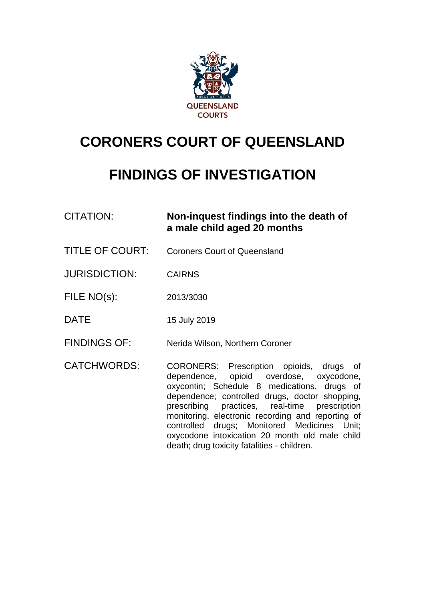

# **CORONERS COURT OF QUEENSLAND**

## **FINDINGS OF INVESTIGATION**

| CITATION: | Non-inquest findings into the death of |
|-----------|----------------------------------------|
|           | a male child aged 20 months            |

TITLE OF COURT: Coroners Court of Queensland

JURISDICTION: CAIRNS

FILE NO(s): 2013/3030

DATE 15 July 2019

FINDINGS OF: Nerida Wilson, Northern Coroner

CATCHWORDS: CORONERS: Prescription opioids, drugs of dependence, opioid overdose, oxycodone, oxycontin; Schedule 8 medications, drugs of dependence; controlled drugs, doctor shopping,<br>prescribing practices, real-time prescription prescribing practices, real-time monitoring, electronic recording and reporting of controlled drugs; Monitored Medicines Unit; oxycodone intoxication 20 month old male child death; drug toxicity fatalities - children.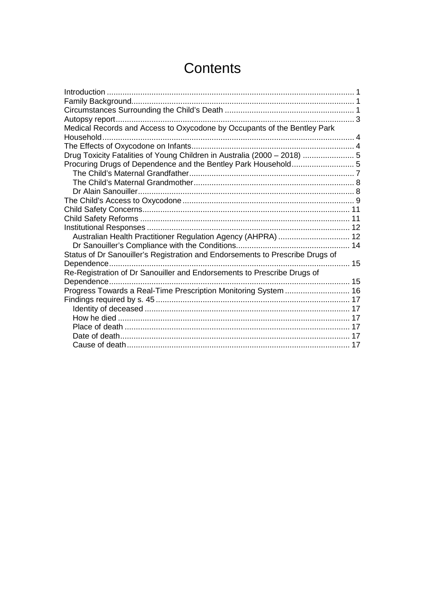## **Contents**

| Medical Records and Access to Oxycodone by Occupants of the Bentley Park      |  |
|-------------------------------------------------------------------------------|--|
|                                                                               |  |
|                                                                               |  |
| Drug Toxicity Fatalities of Young Children in Australia (2000 - 2018)  5      |  |
|                                                                               |  |
|                                                                               |  |
|                                                                               |  |
|                                                                               |  |
|                                                                               |  |
|                                                                               |  |
|                                                                               |  |
|                                                                               |  |
| Australian Health Practitioner Regulation Agency (AHPRA)  12                  |  |
|                                                                               |  |
| Status of Dr Sanouiller's Registration and Endorsements to Prescribe Drugs of |  |
|                                                                               |  |
| Re-Registration of Dr Sanouiller and Endorsements to Prescribe Drugs of       |  |
|                                                                               |  |
| Progress Towards a Real-Time Prescription Monitoring System  16               |  |
|                                                                               |  |
|                                                                               |  |
|                                                                               |  |
|                                                                               |  |
|                                                                               |  |
|                                                                               |  |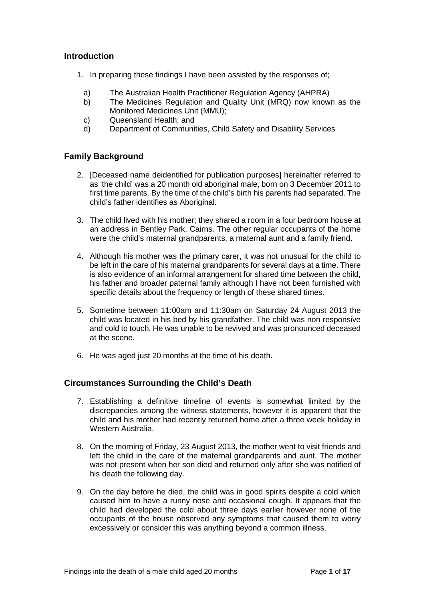### <span id="page-2-0"></span>**Introduction**

- 1. In preparing these findings I have been assisted by the responses of;
	- a) The Australian Health Practitioner Regulation Agency (AHPRA)
	- b) The Medicines Regulation and Quality Unit (MRQ) now known as the Monitored Medicines Unit (MMU);
	- c) Queensland Health; and
	- d) Department of Communities, Child Safety and Disability Services

## <span id="page-2-1"></span>**Family Background**

- 2. [Deceased name deidentified for publication purposes] hereinafter referred to as 'the child' was a 20 month old aboriginal male, born on 3 December 2011 to first time parents. By the time of the child's birth his parents had separated. The child's father identifies as Aboriginal.
- 3. The child lived with his mother; they shared a room in a four bedroom house at an address in Bentley Park, Cairns. The other regular occupants of the home were the child's maternal grandparents, a maternal aunt and a family friend.
- 4. Although his mother was the primary carer, it was not unusual for the child to be left in the care of his maternal grandparents for several days at a time. There is also evidence of an informal arrangement for shared time between the child, his father and broader paternal family although I have not been furnished with specific details about the frequency or length of these shared times.
- 5. Sometime between 11:00am and 11:30am on Saturday 24 August 2013 the child was located in his bed by his grandfather. The child was non responsive and cold to touch. He was unable to be revived and was pronounced deceased at the scene.
- 6. He was aged just 20 months at the time of his death.

#### <span id="page-2-2"></span>**Circumstances Surrounding the Child's Death**

- 7. Establishing a definitive timeline of events is somewhat limited by the discrepancies among the witness statements, however it is apparent that the child and his mother had recently returned home after a three week holiday in Western Australia.
- 8. On the morning of Friday, 23 August 2013, the mother went to visit friends and left the child in the care of the maternal grandparents and aunt. The mother was not present when her son died and returned only after she was notified of his death the following day.
- 9. On the day before he died, the child was in good spirits despite a cold which caused him to have a runny nose and occasional cough. It appears that the child had developed the cold about three days earlier however none of the occupants of the house observed any symptoms that caused them to worry excessively or consider this was anything beyond a common illness.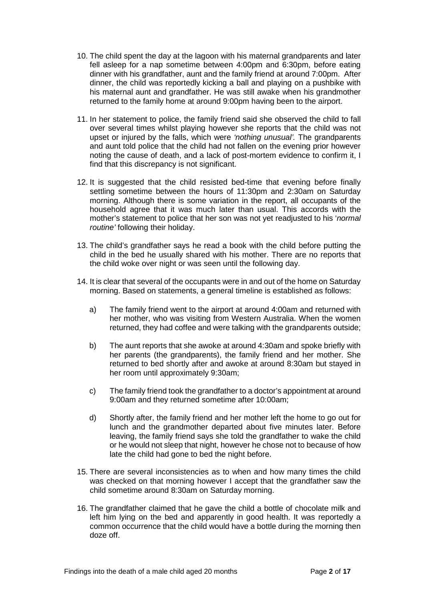- 10. The child spent the day at the lagoon with his maternal grandparents and later fell asleep for a nap sometime between 4:00pm and 6:30pm, before eating dinner with his grandfather, aunt and the family friend at around 7:00pm. After dinner, the child was reportedly kicking a ball and playing on a pushbike with his maternal aunt and grandfather. He was still awake when his grandmother returned to the family home at around 9:00pm having been to the airport.
- 11. In her statement to police, the family friend said she observed the child to fall over several times whilst playing however she reports that the child was not upset or injured by the falls, which were *'nothing unusual'.* The grandparents and aunt told police that the child had not fallen on the evening prior however noting the cause of death, and a lack of post-mortem evidence to confirm it, I find that this discrepancy is not significant.
- 12. It is suggested that the child resisted bed-time that evening before finally settling sometime between the hours of 11:30pm and 2:30am on Saturday morning. Although there is some variation in the report, all occupants of the household agree that it was much later than usual. This accords with the mother's statement to police that her son was not yet readjusted to his '*normal routine'* following their holiday.
- 13. The child's grandfather says he read a book with the child before putting the child in the bed he usually shared with his mother. There are no reports that the child woke over night or was seen until the following day.
- 14. It is clear that several of the occupants were in and out of the home on Saturday morning. Based on statements, a general timeline is established as follows:
	- a) The family friend went to the airport at around 4:00am and returned with her mother, who was visiting from Western Australia. When the women returned, they had coffee and were talking with the grandparents outside;
	- b) The aunt reports that she awoke at around 4:30am and spoke briefly with her parents (the grandparents), the family friend and her mother. She returned to bed shortly after and awoke at around 8:30am but stayed in her room until approximately 9:30am;
	- c) The family friend took the grandfather to a doctor's appointment at around 9:00am and they returned sometime after 10:00am;
	- d) Shortly after, the family friend and her mother left the home to go out for lunch and the grandmother departed about five minutes later. Before leaving, the family friend says she told the grandfather to wake the child or he would not sleep that night, however he chose not to because of how late the child had gone to bed the night before.
- 15. There are several inconsistencies as to when and how many times the child was checked on that morning however I accept that the grandfather saw the child sometime around 8:30am on Saturday morning.
- 16. The grandfather claimed that he gave the child a bottle of chocolate milk and left him lying on the bed and apparently in good health. It was reportedly a common occurrence that the child would have a bottle during the morning then doze off.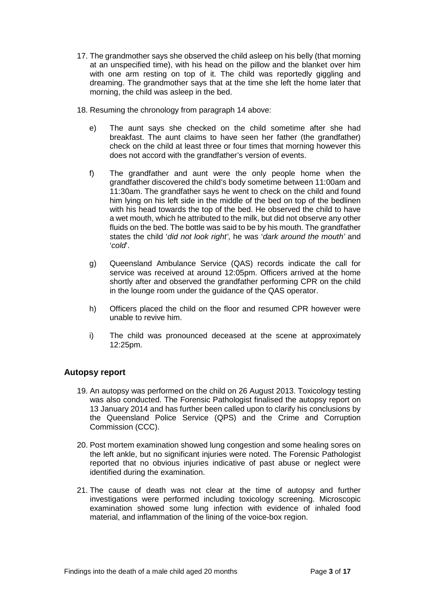- 17. The grandmother says she observed the child asleep on his belly (that morning at an unspecified time), with his head on the pillow and the blanket over him with one arm resting on top of it. The child was reportedly giggling and dreaming. The grandmother says that at the time she left the home later that morning, the child was asleep in the bed.
- 18. Resuming the chronology from paragraph 14 above:
	- e) The aunt says she checked on the child sometime after she had breakfast. The aunt claims to have seen her father (the grandfather) check on the child at least three or four times that morning however this does not accord with the grandfather's version of events.
	- f) The grandfather and aunt were the only people home when the grandfather discovered the child's body sometime between 11:00am and 11:30am. The grandfather says he went to check on the child and found him lying on his left side in the middle of the bed on top of the bedlinen with his head towards the top of the bed. He observed the child to have a wet mouth, which he attributed to the milk, but did not observe any other fluids on the bed. The bottle was said to be by his mouth. The grandfather states the child '*did not look right'*, he was '*dark around the mouth'* and '*cold*'.
	- g) Queensland Ambulance Service (QAS) records indicate the call for service was received at around 12:05pm. Officers arrived at the home shortly after and observed the grandfather performing CPR on the child in the lounge room under the guidance of the QAS operator.
	- h) Officers placed the child on the floor and resumed CPR however were unable to revive him.
	- i) The child was pronounced deceased at the scene at approximately 12:25pm.

## <span id="page-4-0"></span>**Autopsy report**

- 19. An autopsy was performed on the child on 26 August 2013. Toxicology testing was also conducted. The Forensic Pathologist finalised the autopsy report on 13 January 2014 and has further been called upon to clarify his conclusions by the Queensland Police Service (QPS) and the Crime and Corruption Commission (CCC).
- 20. Post mortem examination showed lung congestion and some healing sores on the left ankle, but no significant injuries were noted. The Forensic Pathologist reported that no obvious injuries indicative of past abuse or neglect were identified during the examination.
- 21. The cause of death was not clear at the time of autopsy and further investigations were performed including toxicology screening. Microscopic examination showed some lung infection with evidence of inhaled food material, and inflammation of the lining of the voice-box region.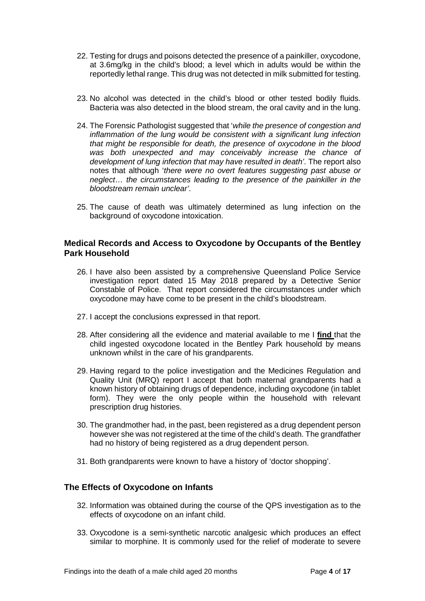- 22. Testing for drugs and poisons detected the presence of a painkiller, oxycodone, at 3.6mg/kg in the child's blood; a level which in adults would be within the reportedly lethal range. This drug was not detected in milk submitted for testing.
- 23. No alcohol was detected in the child's blood or other tested bodily fluids. Bacteria was also detected in the blood stream, the oral cavity and in the lung.
- 24. The Forensic Pathologist suggested that '*while the presence of congestion and inflammation of the lung would be consistent with a significant lung infection that might be responsible for death, the presence of oxycodone in the blood was both unexpected and may conceivably increase the chance of development of lung infection that may have resulted in death'*. The report also notes that although '*there were no overt features suggesting past abuse or neglect… the circumstances leading to the presence of the painkiller in the bloodstream remain unclear'*.
- 25. The cause of death was ultimately determined as lung infection on the background of oxycodone intoxication.

#### <span id="page-5-0"></span>**Medical Records and Access to Oxycodone by Occupants of the Bentley Park Household**

- 26. I have also been assisted by a comprehensive Queensland Police Service investigation report dated 15 May 2018 prepared by a Detective Senior Constable of Police. That report considered the circumstances under which oxycodone may have come to be present in the child's bloodstream.
- 27. I accept the conclusions expressed in that report.
- 28. After considering all the evidence and material available to me I **find** that the child ingested oxycodone located in the Bentley Park household by means unknown whilst in the care of his grandparents.
- 29. Having regard to the police investigation and the Medicines Regulation and Quality Unit (MRQ) report I accept that both maternal grandparents had a known history of obtaining drugs of dependence, including oxycodone (in tablet form). They were the only people within the household with relevant prescription drug histories.
- 30. The grandmother had, in the past, been registered as a drug dependent person however she was not registered at the time of the child's death. The grandfather had no history of being registered as a drug dependent person.
- 31. Both grandparents were known to have a history of 'doctor shopping'.

## <span id="page-5-1"></span>**The Effects of Oxycodone on Infants**

- 32. Information was obtained during the course of the QPS investigation as to the effects of oxycodone on an infant child.
- 33. Oxycodone is a semi-synthetic narcotic analgesic which produces an effect similar to morphine. It is commonly used for the relief of moderate to severe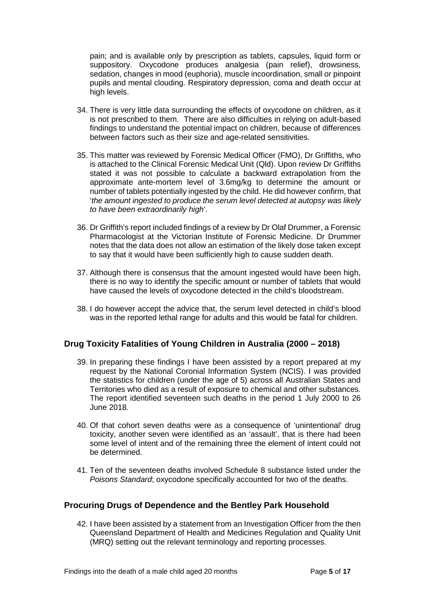pain; and is available only by prescription as tablets, capsules, liquid form or suppository. Oxycodone produces analgesia (pain relief), drowsiness, sedation, changes in mood (euphoria), muscle incoordination, small or pinpoint pupils and mental clouding. Respiratory depression, coma and death occur at high levels.

- 34. There is very little data surrounding the effects of oxycodone on children, as it is not prescribed to them. There are also difficulties in relying on adult-based findings to understand the potential impact on children, because of differences between factors such as their size and age-related sensitivities.
- 35. This matter was reviewed by Forensic Medical Officer (FMO), Dr Griffiths, who is attached to the Clinical Forensic Medical Unit (Qld). Upon review Dr Griffiths stated it was not possible to calculate a backward extrapolation from the approximate ante-mortem level of 3.6mg/kg to determine the amount or number of tablets potentially ingested by the child. He did however confirm, that '*the amount ingested to produce the serum level detected at autopsy was likely to have been extraordinarily high*'.
- 36. Dr Griffith's report included findings of a review by Dr Olaf Drummer, a Forensic Pharmacologist at the Victorian Institute of Forensic Medicine. Dr Drummer notes that the data does not allow an estimation of the likely dose taken except to say that it would have been sufficiently high to cause sudden death.
- 37. Although there is consensus that the amount ingested would have been high, there is no way to identify the specific amount or number of tablets that would have caused the levels of oxycodone detected in the child's bloodstream.
- 38. I do however accept the advice that, the serum level detected in child's blood was in the reported lethal range for adults and this would be fatal for children.

## <span id="page-6-0"></span>**Drug Toxicity Fatalities of Young Children in Australia (2000 – 2018)**

- 39. In preparing these findings I have been assisted by a report prepared at my request by the National Coronial Information System (NCIS). I was provided the statistics for children (under the age of 5) across all Australian States and Territories who died as a result of exposure to chemical and other substances. The report identified seventeen such deaths in the period 1 July 2000 to 26 June 2018.
- 40. Of that cohort seven deaths were as a consequence of 'unintentional' drug toxicity, another seven were identified as an 'assault', that is there had been some level of intent and of the remaining three the element of intent could not be determined.
- 41. Ten of the seventeen deaths involved Schedule 8 substance listed under the *Poisons Standard*; oxycodone specifically accounted for two of the deaths.

#### <span id="page-6-1"></span>**Procuring Drugs of Dependence and the Bentley Park Household**

42. I have been assisted by a statement from an Investigation Officer from the then Queensland Department of Health and Medicines Regulation and Quality Unit (MRQ) setting out the relevant terminology and reporting processes.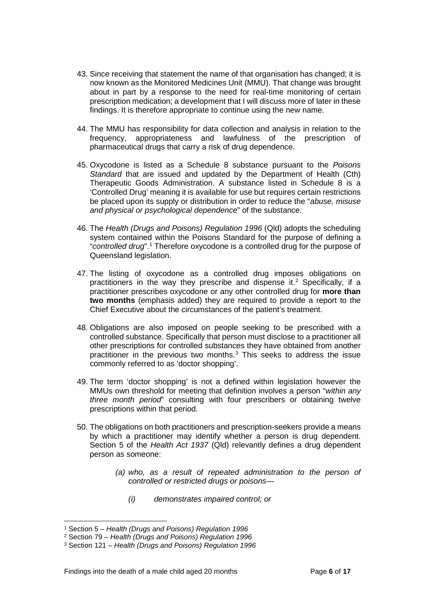- 43. Since receiving that statement the name of that organisation has changed; it is now known as the Monitored Medicines Unit (MMU). That change was brought about in part by a response to the need for real-time monitoring of certain prescription medication; a development that I will discuss more of later in these findings. It is therefore appropriate to continue using the new name.
- 44. The MMU has responsibility for data collection and analysis in relation to the frequency, appropriateness and lawfulness of the prescription of pharmaceutical drugs that carry a risk of drug dependence.
- 45. Oxycodone is listed as a Schedule 8 substance pursuant to the *Poisons Standard* that are issued and updated by the Department of Health (Cth) Therapeutic Goods Administration. A substance listed in Schedule 8 is a 'Controlled Drug' meaning it is available for use but requires certain restrictions be placed upon its supply or distribution in order to reduce the "*abuse, misuse and physical or psychological dependence*" of the substance.
- 46. The *Health (Drugs and Poisons) Regulation 1996* (Qld) adopts the scheduling system contained within the Poisons Standard for the purpose of defining a "*controlled drug*".[1](#page-7-0) Therefore oxycodone is a controlled drug for the purpose of Queensland legislation.
- 47. The listing of oxycodone as a controlled drug imposes obligations on practitioners in the way they prescribe and dispense it.<sup>[2](#page-7-1)</sup> Specifically, if a practitioner prescribes oxycodone or any other controlled drug for **more than two months** (emphasis added) they are required to provide a report to the Chief Executive about the circumstances of the patient's treatment.
- 48. Obligations are also imposed on people seeking to be prescribed with a controlled substance. Specifically that person must disclose to a practitioner all other prescriptions for controlled substances they have obtained from another practitioner in the previous two months. $3$  This seeks to address the issue commonly referred to as 'doctor shopping'.
- 49. The term 'doctor shopping' is not a defined within legislation however the MMUs own threshold for meeting that definition involves a person "*within any three month period*" consulting with four prescribers or obtaining twelve prescriptions within that period.
- 50. The obligations on both practitioners and prescription-seekers provide a means by which a practitioner may identify whether a person is drug dependent. Section 5 of the *Health Act 1937* (Qld) relevantly defines a drug dependent person as someone:
	- *(a) who, as a result of repeated administration to the person of controlled or restricted drugs or poisons—*
		- *(i) demonstrates impaired control; or*

<sup>1</sup> Section 5 – *Health (Drugs and Poisons) Regulation 1996*  $\overline{a}$ 

<span id="page-7-1"></span><span id="page-7-0"></span><sup>2</sup> Section 79 – *Health (Drugs and Poisons) Regulation 1996*

<span id="page-7-2"></span><sup>3</sup> Section 121 – *Health (Drugs and Poisons) Regulation 1996*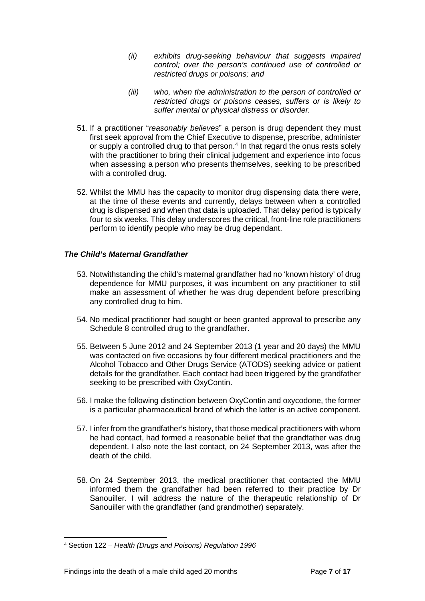- *(ii) exhibits drug-seeking behaviour that suggests impaired control; over the person's continued use of controlled or restricted drugs or poisons; and*
- *(iii) who, when the administration to the person of controlled or restricted drugs or poisons ceases, suffers or is likely to suffer mental or physical distress or disorder.*
- 51. If a practitioner "*reasonably believes*" a person is drug dependent they must first seek approval from the Chief Executive to dispense, prescribe, administer or supply a controlled drug to that person.[4](#page-8-1) In that regard the onus rests solely with the practitioner to bring their clinical judgement and experience into focus when assessing a person who presents themselves, seeking to be prescribed with a controlled drug.
- 52. Whilst the MMU has the capacity to monitor drug dispensing data there were, at the time of these events and currently, delays between when a controlled drug is dispensed and when that data is uploaded. That delay period is typically four to six weeks. This delay underscores the critical, front-line role practitioners perform to identify people who may be drug dependant.

#### <span id="page-8-0"></span>*The Child's Maternal Grandfather*

- 53. Notwithstanding the child's maternal grandfather had no 'known history' of drug dependence for MMU purposes, it was incumbent on any practitioner to still make an assessment of whether he was drug dependent before prescribing any controlled drug to him.
- 54. No medical practitioner had sought or been granted approval to prescribe any Schedule 8 controlled drug to the grandfather.
- 55. Between 5 June 2012 and 24 September 2013 (1 year and 20 days) the MMU was contacted on five occasions by four different medical practitioners and the Alcohol Tobacco and Other Drugs Service (ATODS) seeking advice or patient details for the grandfather. Each contact had been triggered by the grandfather seeking to be prescribed with OxyContin.
- 56. I make the following distinction between OxyContin and oxycodone, the former is a particular pharmaceutical brand of which the latter is an active component.
- 57. I infer from the grandfather's history, that those medical practitioners with whom he had contact, had formed a reasonable belief that the grandfather was drug dependent. I also note the last contact, on 24 September 2013, was after the death of the child.
- 58. On 24 September 2013, the medical practitioner that contacted the MMU informed them the grandfather had been referred to their practice by Dr Sanouiller. I will address the nature of the therapeutic relationship of Dr Sanouiller with the grandfather (and grandmother) separately.

<span id="page-8-1"></span><sup>4</sup> Section 122 – *Health (Drugs and Poisons) Regulation 1996*  $\overline{a}$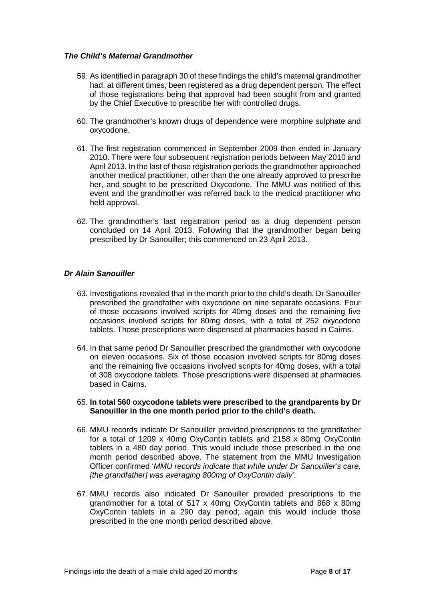#### <span id="page-9-0"></span>*The Child's Maternal Grandmother*

- 59. As identified in paragraph 30 of these findings the child's maternal grandmother had, at different times, been registered as a drug dependent person. The effect of those registrations being that approval had been sought from and granted by the Chief Executive to prescribe her with controlled drugs.
- 60. The grandmother's known drugs of dependence were morphine sulphate and oxycodone.
- 61. The first registration commenced in September 2009 then ended in January 2010. There were four subsequent registration periods between May 2010 and April 2013. In the last of those registration periods the grandmother approached another medical practitioner, other than the one already approved to prescribe her, and sought to be prescribed Oxycodone. The MMU was notified of this event and the grandmother was referred back to the medical practitioner who held approval.
- 62. The grandmother's last registration period as a drug dependent person concluded on 14 April 2013. Following that the grandmother began being prescribed by Dr Sanouiller; this commenced on 23 April 2013.

#### <span id="page-9-1"></span>*Dr Alain Sanouiller*

- 63. Investigations revealed that in the month prior to the child's death, Dr Sanouiller prescribed the grandfather with oxycodone on nine separate occasions. Four of those occasions involved scripts for 40mg doses and the remaining five occasions involved scripts for 80mg doses, with a total of 252 oxycodone tablets. Those prescriptions were dispensed at pharmacies based in Cairns.
- 64. In that same period Dr Sanouiller prescribed the grandmother with oxycodone on eleven occasions. Six of those occasion involved scripts for 80mg doses and the remaining five occasions involved scripts for 40mg doses, with a total of 308 oxycodone tablets. Those prescriptions were dispensed at pharmacies based in Cairns.
- 65. **In total 560 oxycodone tablets were prescribed to the grandparents by Dr Sanouiller in the one month period prior to the child's death.**
- 66. MMU records indicate Dr Sanouiller provided prescriptions to the grandfather for a total of 1209 x 40mg OxyContin tablets and 2158 x 80mg OxyContin tablets in a 480 day period. This would include those prescribed in the one month period described above. The statement from the MMU Investigation Officer confirmed '*MMU records indicate that while under Dr Sanouiller's care, [the grandfather] was averaging 800mg of OxyContin daily'*.
- 67. MMU records also indicated Dr Sanouiller provided prescriptions to the grandmother for a total of 517 x 40mg OxyContin tablets and 868 x 80mg OxyContin tablets in a 290 day period; again this would include those prescribed in the one month period described above.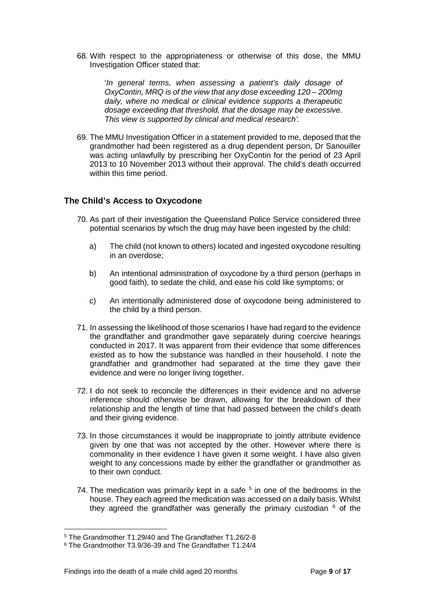68. With respect to the appropriateness or otherwise of this dose, the MMU Investigation Officer stated that:

> '*In general terms, when assessing a patient's daily dosage of OxyContin, MRQ is of the view that any dose exceeding 120 – 200mg daily, where no medical or clinical evidence supports a therapeutic dosage exceeding that threshold, that the dosage may be excessive. This view is supported by clinical and medical research'.*

69. The MMU Investigation Officer in a statement provided to me, deposed that the grandmother had been registered as a drug dependent person, Dr Sanouiller was acting unlawfully by prescribing her OxyContin for the period of 23 April 2013 to 10 November 2013 without their approval. The child's death occurred within this time period.

## <span id="page-10-0"></span>**The Child's Access to Oxycodone**

- 70. As part of their investigation the Queensland Police Service considered three potential scenarios by which the drug may have been ingested by the child:
	- a) The child (not known to others) located and ingested oxycodone resulting in an overdose;
	- b) An intentional administration of oxycodone by a third person (perhaps in good faith), to sedate the child, and ease his cold like symptoms; or
	- c) An intentionally administered dose of oxycodone being administered to the child by a third person.
- 71. In assessing the likelihood of those scenarios I have had regard to the evidence the grandfather and grandmother gave separately during coercive hearings conducted in 2017. It was apparent from their evidence that some differences existed as to how the substance was handled in their household. I note the grandfather and grandmother had separated at the time they gave their evidence and were no longer living together.
- 72. I do not seek to reconcile the differences in their evidence and no adverse inference should otherwise be drawn, allowing for the breakdown of their relationship and the length of time that had passed between the child's death and their giving evidence.
- 73. In those circumstances it would be inappropriate to jointly attribute evidence given by one that was not accepted by the other. However where there is commonality in their evidence I have given it some weight. I have also given weight to any concessions made by either the grandfather or grandmother as to their own conduct.
- 74. The medication was primarily kept in a safe  $5$  in one of the bedrooms in the house. They each agreed the medication was accessed on a daily basis. Whilst they agreed the grandfather was generally the primary custodian  $6$  of the

<sup>5</sup> The Grandmother T1.29/40 and The Grandfather T1.26/2-8  $\overline{a}$ 

<span id="page-10-2"></span><span id="page-10-1"></span><sup>6</sup> The Grandmother T3.9/36-39 and The Grandfather T1.24/4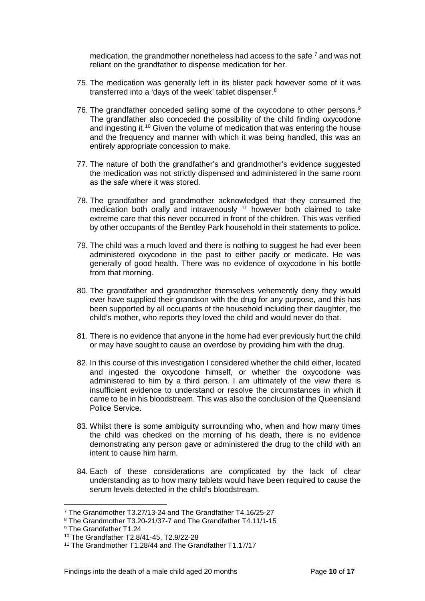medication, the grandmother nonetheless had access to the safe [7](#page-11-0) and was not reliant on the grandfather to dispense medication for her.

- 75. The medication was generally left in its blister pack however some of it was transferred into a 'days of the week' tablet dispenser.[8](#page-11-1)
- 76. The grandfather conceded selling some of the oxycodone to other persons.<sup>[9](#page-11-2)</sup> The grandfather also conceded the possibility of the child finding oxycodone and ingesting it.<sup>[10](#page-11-3)</sup> Given the volume of medication that was entering the house and the frequency and manner with which it was being handled, this was an entirely appropriate concession to make.
- 77. The nature of both the grandfather's and grandmother's evidence suggested the medication was not strictly dispensed and administered in the same room as the safe where it was stored.
- 78. The grandfather and grandmother acknowledged that they consumed the medication both orally and intravenously <sup>[11](#page-11-4)</sup> however both claimed to take extreme care that this never occurred in front of the children. This was verified by other occupants of the Bentley Park household in their statements to police.
- 79. The child was a much loved and there is nothing to suggest he had ever been administered oxycodone in the past to either pacify or medicate. He was generally of good health. There was no evidence of oxycodone in his bottle from that morning.
- 80. The grandfather and grandmother themselves vehemently deny they would ever have supplied their grandson with the drug for any purpose, and this has been supported by all occupants of the household including their daughter, the child's mother, who reports they loved the child and would never do that.
- 81. There is no evidence that anyone in the home had ever previously hurt the child or may have sought to cause an overdose by providing him with the drug.
- 82. In this course of this investigation I considered whether the child either, located and ingested the oxycodone himself, or whether the oxycodone was administered to him by a third person. I am ultimately of the view there is insufficient evidence to understand or resolve the circumstances in which it came to be in his bloodstream. This was also the conclusion of the Queensland Police Service.
- 83. Whilst there is some ambiguity surrounding who, when and how many times the child was checked on the morning of his death, there is no evidence demonstrating any person gave or administered the drug to the child with an intent to cause him harm.
- 84. Each of these considerations are complicated by the lack of clear understanding as to how many tablets would have been required to cause the serum levels detected in the child's bloodstream.

 $\overline{a}$ 

<span id="page-11-0"></span><sup>7</sup> The Grandmother T3.27/13-24 and The Grandfather T4.16/25-27

<span id="page-11-1"></span><sup>8</sup> The Grandmother T3.20-21/37-7 and The Grandfather T4.11/1-15

<span id="page-11-2"></span><sup>9</sup> The Grandfather T1.24

<span id="page-11-3"></span><sup>10</sup> The Grandfather T2.8/41-45, T2.9/22-28

<span id="page-11-4"></span><sup>11</sup> The Grandmother T1.28/44 and The Grandfather T1.17/17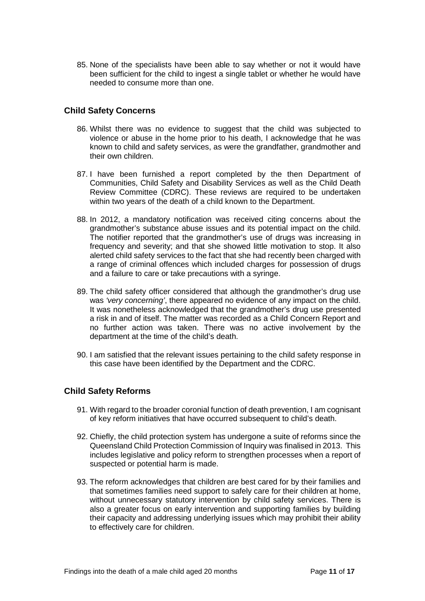85. None of the specialists have been able to say whether or not it would have been sufficient for the child to ingest a single tablet or whether he would have needed to consume more than one.

## <span id="page-12-0"></span>**Child Safety Concerns**

- 86. Whilst there was no evidence to suggest that the child was subjected to violence or abuse in the home prior to his death, I acknowledge that he was known to child and safety services, as were the grandfather, grandmother and their own children.
- 87. I have been furnished a report completed by the then Department of Communities, Child Safety and Disability Services as well as the Child Death Review Committee (CDRC). These reviews are required to be undertaken within two years of the death of a child known to the Department.
- 88. In 2012, a mandatory notification was received citing concerns about the grandmother's substance abuse issues and its potential impact on the child. The notifier reported that the grandmother's use of drugs was increasing in frequency and severity; and that she showed little motivation to stop. It also alerted child safety services to the fact that she had recently been charged with a range of criminal offences which included charges for possession of drugs and a failure to care or take precautions with a syringe.
- 89. The child safety officer considered that although the grandmother's drug use was *'very concerning'*, there appeared no evidence of any impact on the child. It was nonetheless acknowledged that the grandmother's drug use presented a risk in and of itself. The matter was recorded as a Child Concern Report and no further action was taken. There was no active involvement by the department at the time of the child's death.
- 90. I am satisfied that the relevant issues pertaining to the child safety response in this case have been identified by the Department and the CDRC.

#### <span id="page-12-1"></span>**Child Safety Reforms**

- 91. With regard to the broader coronial function of death prevention, I am cognisant of key reform initiatives that have occurred subsequent to child's death.
- 92. Chiefly, the child protection system has undergone a suite of reforms since the Queensland Child Protection Commission of Inquiry was finalised in 2013. This includes legislative and policy reform to strengthen processes when a report of suspected or potential harm is made.
- 93. The reform acknowledges that children are best cared for by their families and that sometimes families need support to safely care for their children at home, without unnecessary statutory intervention by child safety services. There is also a greater focus on early intervention and supporting families by building their capacity and addressing underlying issues which may prohibit their ability to effectively care for children.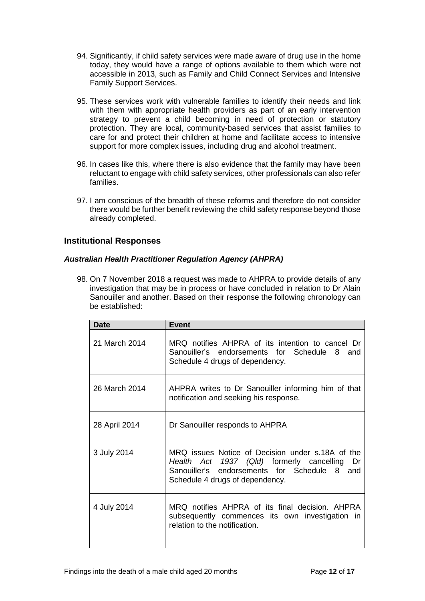- 94. Significantly, if child safety services were made aware of drug use in the home today, they would have a range of options available to them which were not accessible in 2013, such as Family and Child Connect Services and Intensive Family Support Services.
- 95. These services work with vulnerable families to identify their needs and link with them with appropriate health providers as part of an early intervention strategy to prevent a child becoming in need of protection or statutory protection. They are local, community-based services that assist families to care for and protect their children at home and facilitate access to intensive support for more complex issues, including drug and alcohol treatment.
- 96. In cases like this, where there is also evidence that the family may have been reluctant to engage with child safety services, other professionals can also refer families.
- 97. I am conscious of the breadth of these reforms and therefore do not consider there would be further benefit reviewing the child safety response beyond those already completed.

## <span id="page-13-0"></span>**Institutional Responses**

#### <span id="page-13-1"></span>*Australian Health Practitioner Regulation Agency (AHPRA)*

98. On 7 November 2018 a request was made to AHPRA to provide details of any investigation that may be in process or have concluded in relation to Dr Alain Sanouiller and another. Based on their response the following chronology can be established:

| <b>Date</b>   | <b>Event</b>                                                                                                                                                                              |
|---------------|-------------------------------------------------------------------------------------------------------------------------------------------------------------------------------------------|
| 21 March 2014 | MRQ notifies AHPRA of its intention to cancel Dr<br>Sanouiller's endorsements for Schedule<br>8<br>and<br>Schedule 4 drugs of dependency.                                                 |
| 26 March 2014 | AHPRA writes to Dr Sanouiller informing him of that<br>notification and seeking his response.                                                                                             |
| 28 April 2014 | Dr Sanouiller responds to AHPRA                                                                                                                                                           |
| 3 July 2014   | MRQ issues Notice of Decision under s.18A of the<br>Health Act 1937 (Qld) formerly cancelling<br>Dr<br>Sanouiller's endorsements for Schedule 8<br>and<br>Schedule 4 drugs of dependency. |
| 4 July 2014   | MRQ notifies AHPRA of its final decision. AHPRA<br>subsequently commences its own investigation in<br>relation to the notification.                                                       |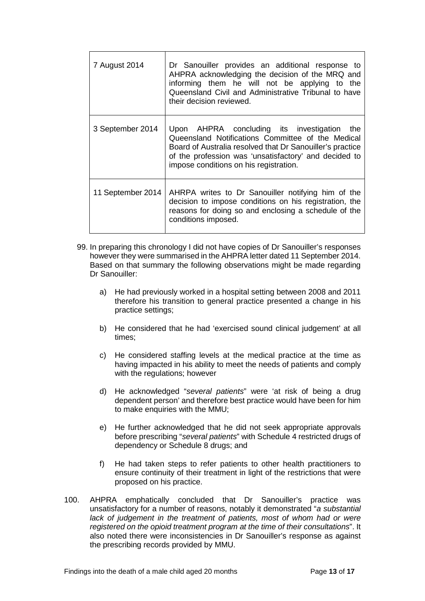| 7 August 2014     | Dr Sanouiller provides an additional response to<br>AHPRA acknowledging the decision of the MRQ and<br>informing them he will not be applying to the<br>Queensland Civil and Administrative Tribunal to have<br>their decision reviewed.                            |
|-------------------|---------------------------------------------------------------------------------------------------------------------------------------------------------------------------------------------------------------------------------------------------------------------|
| 3 September 2014  | Upon AHPRA concluding its investigation<br>the<br>Queensland Notifications Committee of the Medical<br>Board of Australia resolved that Dr Sanouiller's practice<br>of the profession was 'unsatisfactory' and decided to<br>impose conditions on his registration. |
| 11 September 2014 | AHRPA writes to Dr Sanouiller notifying him of the<br>decision to impose conditions on his registration, the<br>reasons for doing so and enclosing a schedule of the<br>conditions imposed.                                                                         |

- 99. In preparing this chronology I did not have copies of Dr Sanouiller's responses however they were summarised in the AHPRA letter dated 11 September 2014. Based on that summary the following observations might be made regarding Dr Sanouiller:
	- a) He had previously worked in a hospital setting between 2008 and 2011 therefore his transition to general practice presented a change in his practice settings;
	- b) He considered that he had 'exercised sound clinical judgement' at all times;
	- c) He considered staffing levels at the medical practice at the time as having impacted in his ability to meet the needs of patients and comply with the regulations; however
	- d) He acknowledged "*several patients*" were 'at risk of being a drug dependent person' and therefore best practice would have been for him to make enquiries with the MMU;
	- e) He further acknowledged that he did not seek appropriate approvals before prescribing "*several patients*" with Schedule 4 restricted drugs of dependency or Schedule 8 drugs; and
	- f) He had taken steps to refer patients to other health practitioners to ensure continuity of their treatment in light of the restrictions that were proposed on his practice.
- 100. AHPRA emphatically concluded that Dr Sanouiller's practice was unsatisfactory for a number of reasons, notably it demonstrated "*a substantial*  lack of judgement in the treatment of patients, most of whom had or were *registered on the opioid treatment program at the time of their consultations*". It also noted there were inconsistencies in Dr Sanouiller's response as against the prescribing records provided by MMU.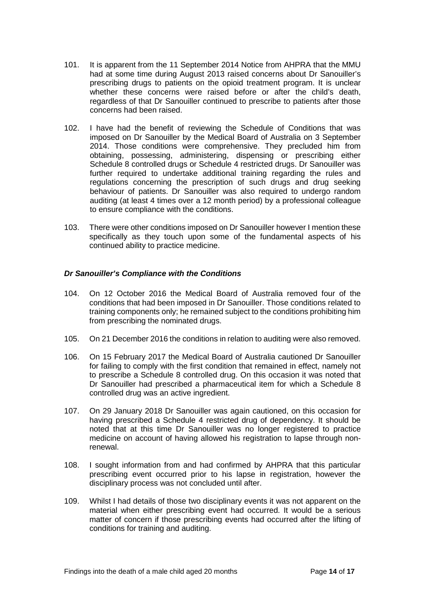- 101. It is apparent from the 11 September 2014 Notice from AHPRA that the MMU had at some time during August 2013 raised concerns about Dr Sanouiller's prescribing drugs to patients on the opioid treatment program. It is unclear whether these concerns were raised before or after the child's death. regardless of that Dr Sanouiller continued to prescribe to patients after those concerns had been raised.
- 102. I have had the benefit of reviewing the Schedule of Conditions that was imposed on Dr Sanouiller by the Medical Board of Australia on 3 September 2014. Those conditions were comprehensive. They precluded him from obtaining, possessing, administering, dispensing or prescribing either Schedule 8 controlled drugs or Schedule 4 restricted drugs. Dr Sanouiller was further required to undertake additional training regarding the rules and regulations concerning the prescription of such drugs and drug seeking behaviour of patients. Dr Sanouiller was also required to undergo random auditing (at least 4 times over a 12 month period) by a professional colleague to ensure compliance with the conditions.
- 103. There were other conditions imposed on Dr Sanouiller however I mention these specifically as they touch upon some of the fundamental aspects of his continued ability to practice medicine.

### <span id="page-15-0"></span>*Dr Sanouiller's Compliance with the Conditions*

- 104. On 12 October 2016 the Medical Board of Australia removed four of the conditions that had been imposed in Dr Sanouiller. Those conditions related to training components only; he remained subject to the conditions prohibiting him from prescribing the nominated drugs.
- 105. On 21 December 2016 the conditions in relation to auditing were also removed.
- 106. On 15 February 2017 the Medical Board of Australia cautioned Dr Sanouiller for failing to comply with the first condition that remained in effect, namely not to prescribe a Schedule 8 controlled drug. On this occasion it was noted that Dr Sanouiller had prescribed a pharmaceutical item for which a Schedule 8 controlled drug was an active ingredient.
- 107. On 29 January 2018 Dr Sanouiller was again cautioned, on this occasion for having prescribed a Schedule 4 restricted drug of dependency. It should be noted that at this time Dr Sanouiller was no longer registered to practice medicine on account of having allowed his registration to lapse through nonrenewal.
- 108. I sought information from and had confirmed by AHPRA that this particular prescribing event occurred prior to his lapse in registration, however the disciplinary process was not concluded until after.
- 109. Whilst I had details of those two disciplinary events it was not apparent on the material when either prescribing event had occurred. It would be a serious matter of concern if those prescribing events had occurred after the lifting of conditions for training and auditing.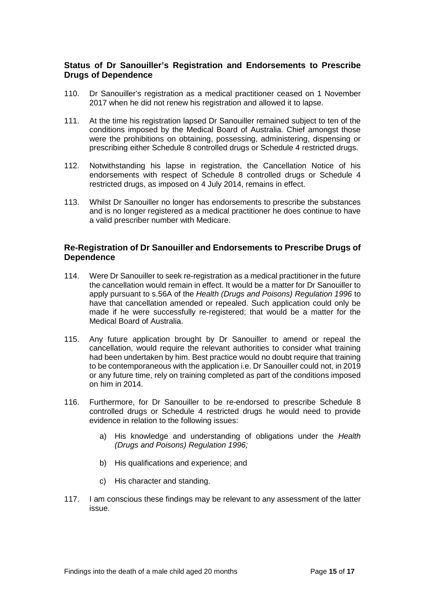### <span id="page-16-0"></span>**Status of Dr Sanouiller's Registration and Endorsements to Prescribe Drugs of Dependence**

- 110. Dr Sanouiller's registration as a medical practitioner ceased on 1 November 2017 when he did not renew his registration and allowed it to lapse.
- 111. At the time his registration lapsed Dr Sanouiller remained subject to ten of the conditions imposed by the Medical Board of Australia. Chief amongst those were the prohibitions on obtaining, possessing, administering, dispensing or prescribing either Schedule 8 controlled drugs or Schedule 4 restricted drugs.
- 112. Notwithstanding his lapse in registration, the Cancellation Notice of his endorsements with respect of Schedule 8 controlled drugs or Schedule 4 restricted drugs, as imposed on 4 July 2014, remains in effect.
- 113. Whilst Dr Sanouiller no longer has endorsements to prescribe the substances and is no longer registered as a medical practitioner he does continue to have a valid prescriber number with Medicare.

### <span id="page-16-1"></span>**Re-Registration of Dr Sanouiller and Endorsements to Prescribe Drugs of Dependence**

- 114. Were Dr Sanouiller to seek re-registration as a medical practitioner in the future the cancellation would remain in effect. It would be a matter for Dr Sanouiller to apply pursuant to s.56A of the *Health (Drugs and Poisons) Regulation 1996* to have that cancellation amended or repealed. Such application could only be made if he were successfully re-registered; that would be a matter for the Medical Board of Australia.
- 115. Any future application brought by Dr Sanouiller to amend or repeal the cancellation, would require the relevant authorities to consider what training had been undertaken by him. Best practice would no doubt require that training to be contemporaneous with the application i.e. Dr Sanouiller could not, in 2019 or any future time, rely on training completed as part of the conditions imposed on him in 2014.
- 116. Furthermore, for Dr Sanouiller to be re-endorsed to prescribe Schedule 8 controlled drugs or Schedule 4 restricted drugs he would need to provide evidence in relation to the following issues:
	- a) His knowledge and understanding of obligations under the *Health (Drugs and Poisons) Regulation 1996;*
	- b) His qualifications and experience; and
	- c) His character and standing.
- 117. I am conscious these findings may be relevant to any assessment of the latter issue.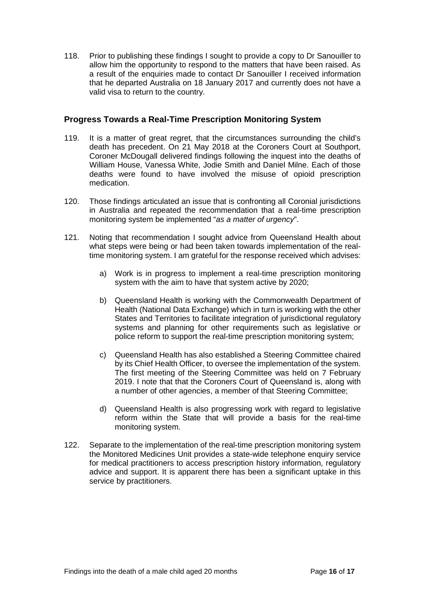118. Prior to publishing these findings I sought to provide a copy to Dr Sanouiller to allow him the opportunity to respond to the matters that have been raised. As a result of the enquiries made to contact Dr Sanouiller I received information that he departed Australia on 18 January 2017 and currently does not have a valid visa to return to the country.

### <span id="page-17-0"></span>**Progress Towards a Real-Time Prescription Monitoring System**

- 119. It is a matter of great regret, that the circumstances surrounding the child's death has precedent. On 21 May 2018 at the Coroners Court at Southport, Coroner McDougall delivered findings following the inquest into the deaths of William House, Vanessa White, Jodie Smith and Daniel Milne. Each of those deaths were found to have involved the misuse of opioid prescription medication.
- 120. Those findings articulated an issue that is confronting all Coronial jurisdictions in Australia and repeated the recommendation that a real-time prescription monitoring system be implemented "*as a matter of urgency*".
- 121. Noting that recommendation I sought advice from Queensland Health about what steps were being or had been taken towards implementation of the realtime monitoring system. I am grateful for the response received which advises:
	- a) Work is in progress to implement a real-time prescription monitoring system with the aim to have that system active by 2020;
	- b) Queensland Health is working with the Commonwealth Department of Health (National Data Exchange) which in turn is working with the other States and Territories to facilitate integration of jurisdictional regulatory systems and planning for other requirements such as legislative or police reform to support the real-time prescription monitoring system;
	- c) Queensland Health has also established a Steering Committee chaired by its Chief Health Officer, to oversee the implementation of the system. The first meeting of the Steering Committee was held on 7 February 2019. I note that that the Coroners Court of Queensland is, along with a number of other agencies, a member of that Steering Committee;
	- d) Queensland Health is also progressing work with regard to legislative reform within the State that will provide a basis for the real-time monitoring system.
- 122. Separate to the implementation of the real-time prescription monitoring system the Monitored Medicines Unit provides a state-wide telephone enquiry service for medical practitioners to access prescription history information, regulatory advice and support. It is apparent there has been a significant uptake in this service by practitioners.